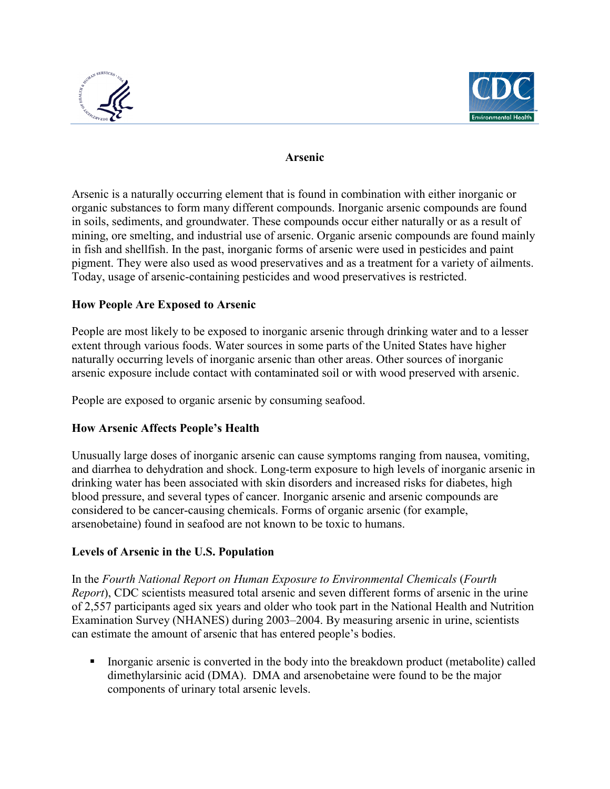



### **Arsenic**

 Arsenic is a naturally occurring element that is found in combination with either inorganic or organic substances to form many different compounds. Inorganic arsenic compounds are found in soils, sediments, and groundwater. These compounds occur either naturally or as a result of in fish and shellfish. In the past, inorganic forms of arsenic were used in pesticides and paint pigment. They were also used as wood preservatives and as a treatment for a variety of ailments. mining, ore smelting, and industrial use of arsenic. Organic arsenic compounds are found mainly Today, usage of arsenic-containing pesticides and wood preservatives is restricted.

### **How People Are Exposed to Arsenic**

People are most likely to be exposed to inorganic arsenic through drinking water and to a lesser extent through various foods. Water sources in some parts of the United States have higher naturally occurring levels of inorganic arsenic than other areas. Other sources of inorganic arsenic exposure include contact with contaminated soil or with wood preserved with arsenic.

People are exposed to organic arsenic by consuming seafood.

# **How Arsenic Affects People's Health**

 drinking water has been associated with skin disorders and increased risks for diabetes, high considered to be cancer-causing chemicals. Forms of organic arsenic (for example, arsenobetaine) found in seafood are not known to be toxic to humans. Unusually large doses of inorganic arsenic can cause symptoms ranging from nausea, vomiting, and diarrhea to dehydration and shock. Long-term exposure to high levels of inorganic arsenic in blood pressure, and several types of cancer. Inorganic arsenic and arsenic compounds are

# **Levels of Arsenic in the U.S. Population**

In the Fourth National Report on Human Exposure to Environmental Chemicals (Fourth *Report*), CDC scientists measured total arsenic and seven different forms of arsenic in the urine of 2,557 participants aged six years and older who took part in the National Health and Nutrition Examination Survey (NHANES) during 2003–2004. By measuring arsenic in urine, scientists can estimate the amount of arsenic that has entered people's bodies.

 Inorganic arsenic is converted in the body into the breakdown product (metabolite) called dimethylarsinic acid (DMA). DMA and arsenobetaine were found to be the major components of urinary total arsenic levels.